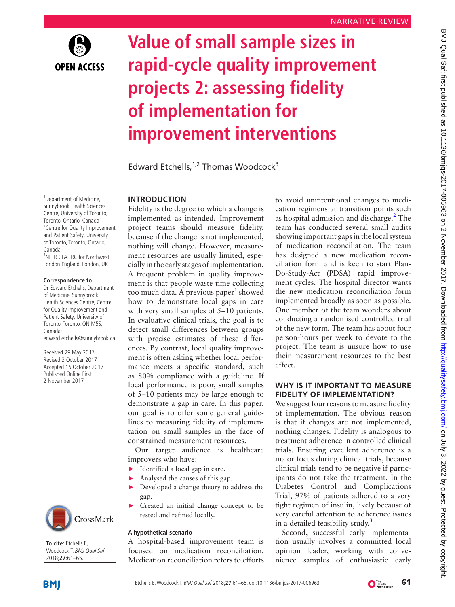

# **Value of small sample sizes in rapid-cycle quality improvement projects 2: assessing fidelity of implementation for improvement interventions**

Edward Etchells, $1,2$  Thomas Woodcock<sup>3</sup>

<sup>1</sup> Department of Medicine, Sunnybrook Health Sciences Centre, University of Toronto, Toronto, Ontario, Canada <sup>2</sup> Centre for Quality Improvement and Patient Safety, University of Toronto, Toronto, Ontario, Canada 3 NIHR CLAHRC for Northwest London England, London, UK

#### **Correspondence to**

Dr Edward Etchells, Department of Medicine, Sunnybrook Health Sciences Centre, Centre for Quality Improvement and Patient Safety, University of Toronto, Toronto, ON M5S, Canada; edward.etchells@sunnybrook.ca

Received 29 May 2017 Revised 3 October 2017 Accepted 15 October 2017 Published Online First 2 November 2017



**To cite:** Etchells E, Woodcock T. BMJ Qual Saf 2018;**27**:61–65.

## **Introduction**

Fidelity is the degree to which a change is implemented as intended. Improvement project teams should measure fidelity, because if the change is not implemented, nothing will change. However, measurement resources are usually limited, especially in the early stages of implementation. A frequent problem in quality improvement is that people waste time collecting too much data. A previous paper<sup>[1](#page-4-0)</sup> showed how to demonstrate local gaps in care with very small samples of 5–10 patients. In evaluative clinical trials, the goal is to detect small differences between groups with precise estimates of these differences. By contrast, local quality improvement is often asking whether local performance meets a specific standard, such as 80% compliance with a guideline. If local performance is poor, small samples of 5–10 patients may be large enough to demonstrate a gap in care. In this paper, our goal is to offer some general guidelines to measuring fidelity of implementation on small samples in the face of constrained measurement resources.

Our target audience is healthcare improvers who have:

- Identified a local gap in care.
- Analysed the causes of this gap.
- Developed a change theory to address the gap.
- Created an initial change concept to be tested and refined locally.

## **A hypothetical scenario**

A hospital-based improvement team is focused on medication reconciliation. Medication reconciliation refers to efforts to avoid unintentional changes to medication regimens at transition points such as hospital admission and discharge.<sup>[2](#page-4-1)</sup> The team has conducted several small audits showing important gaps in the local system of medication reconciliation. The team has designed a new medication reconciliation form and is keen to start Plan-Do-Study-Act (PDSA) rapid improvement cycles. The hospital director wants the new medication reconciliation form implemented broadly as soon as possible. One member of the team wonders about conducting a randomised controlled trial of the new form. The team has about four person-hours per week to devote to the project. The team is unsure how to use their measurement resources to the best effect.

## **Why is it important to measure fidelity of implementation?**

We suggest four reasons to measure fidelity of implementation. The obvious reason is that if changes are not implemented, nothing changes. Fidelity is analogous to treatment adherence in controlled clinical trials. Ensuring excellent adherence is a major focus during clinical trials, because clinical trials tend to be negative if participants do not take the treatment. In the Diabetes Control and Complications Trial, 97% of patients adhered to a very tight regimen of insulin, likely because of very careful attention to adherence issues in a detailed feasibility study.<sup>3</sup>

Second, successful early implementation usually involves a committed local opinion leader, working with convenience samples of enthusiastic early



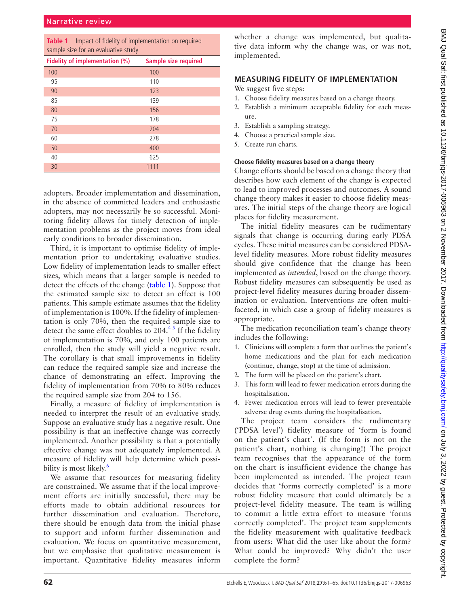<span id="page-1-0"></span>

| Table 1 Impact of fidelity of implementation on required |
|----------------------------------------------------------|
| sample size for an evaluative study                      |

| Fidelity of implementation (%) | <b>Sample size required</b> |
|--------------------------------|-----------------------------|
| 100                            | 100                         |
| 95                             | 110                         |
| 90                             | 123                         |
| 85                             | 139                         |
| 80                             | 156                         |
| 75                             | 178                         |
| 70                             | 204                         |
| 60                             | 278                         |
| 50                             | 400                         |
| 40                             | 625                         |
| 30                             | 1111                        |

adopters. Broader implementation and dissemination, in the absence of committed leaders and enthusiastic adopters, may not necessarily be so successful. Monitoring fidelity allows for timely detection of implementation problems as the project moves from ideal early conditions to broader dissemination.

Third, it is important to optimise fidelity of implementation prior to undertaking evaluative studies. Low fidelity of implementation leads to smaller effect sizes, which means that a larger sample is needed to detect the effects of the change ([table](#page-1-0) 1). Suppose that the estimated sample size to detect an effect is 100 patients. This sample estimate assumes that the fidelity of implementation is 100%. If the fidelity of implementation is only 70%, then the required sample size to detect the same effect doubles to  $204.<sup>45</sup>$  If the fidelity of implementation is 70%, and only 100 patients are enrolled, then the study will yield a negative result. The corollary is that small improvements in fidelity can reduce the required sample size and increase the chance of demonstrating an effect. Improving the fidelity of implementation from 70% to 80% reduces the required sample size from 204 to 156.

Finally, a measure of fidelity of implementation is needed to interpret the result of an evaluative study. Suppose an evaluative study has a negative result. One possibility is that an ineffective change was correctly implemented. Another possibility is that a potentially effective change was not adequately implemented. A measure of fidelity will help determine which possibility is most likely.<sup>6</sup>

We assume that resources for measuring fidelity are constrained. We assume that if the local improvement efforts are initially successful, there may be efforts made to obtain additional resources for further dissemination and evaluation. Therefore, there should be enough data from the initial phase to support and inform further dissemination and evaluation. We focus on quantitative measurement, but we emphasise that qualitative measurement is important. Quantitative fidelity measures inform

whether a change was implemented, but qualitative data inform why the change was, or was not, implemented.

## **Measuring fidelity of implementation**

We suggest five steps:

- 1. Choose fidelity measures based on a change theory.
- 2. Establish a minimum acceptable fidelity for each measure.
- 3. Establish a sampling strategy.
- 4. Choose a practical sample size.
- 5. Create run charts.

## **Choose fidelity measures based on a change theory**

Change efforts should be based on a change theory that describes how each element of the change is expected to lead to improved processes and outcomes. A sound change theory makes it easier to choose fidelity measures. The initial steps of the change theory are logical places for fidelity measurement.

The initial fidelity measures can be rudimentary signals that change is occurring during early PDSA cycles. These initial measures can be considered PDSAlevel fidelity measures. More robust fidelity measures should give confidence that the change has been implemented *as intended*, based on the change theory. Robust fidelity measures can subsequently be used as project-level fidelity measures during broader dissemination or evaluation. Interventions are often multifaceted, in which case a group of fidelity measures is appropriate.

The medication reconciliation team's change theory includes the following:

- 1. Clinicians will complete a form that outlines the patient's home medications and the plan for each medication (continue, change, stop) at the time of admission.
- 2. The form will be placed on the patient's chart.
- 3. This form will lead to fewer medication errors during the hospitalisation.
- 4. Fewer medication errors will lead to fewer preventable adverse drug events during the hospitalisation.

The project team considers the rudimentary ('PDSA level') fidelity measure of 'form is found on the patient's chart'. (If the form is not on the patient's chart, nothing is changing!) The project team recognises that the appearance of the form on the chart is insufficient evidence the change has been implemented as intended. The project team decides that 'forms correctly completed' is a more robust fidelity measure that could ultimately be a project-level fidelity measure. The team is willing to commit a little extra effort to measure 'forms correctly completed'. The project team supplements the fidelity measurement with qualitative feedback from users: What did the user like about the form? What could be improved? Why didn't the user complete the form?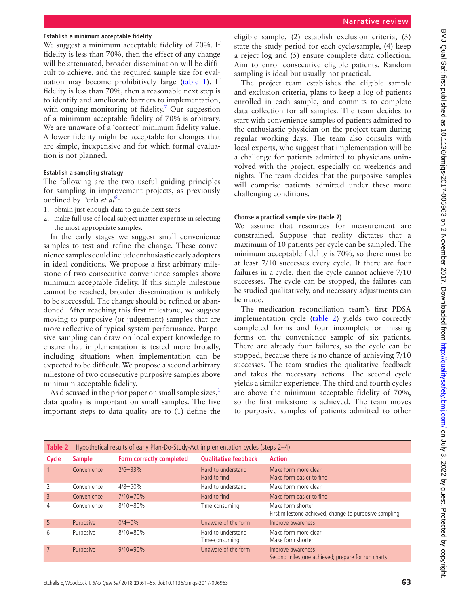#### **Establish a minimum acceptable fidelity**

We suggest a minimum acceptable fidelity of 70%. If fidelity is less than 70%, then the effect of any change will be attenuated, broader dissemination will be difficult to achieve, and the required sample size for evaluation may become prohibitively large [\(table](#page-1-0) 1). If fidelity is less than 70%, then a reasonable next step is to identify and ameliorate barriers to implementation, with ongoing monitoring of fidelity.<sup>[7](#page-4-5)</sup> Our suggestion of a minimum acceptable fidelity of 70% is arbitrary. We are unaware of a 'correct' minimum fidelity value. A lower fidelity might be acceptable for changes that are simple, inexpensive and for which formal evaluation is not planned.

## **Establish a sampling strategy**

The following are the two useful guiding principles for sampling in improvement projects, as previously outlined by Perla et al<sup>[8](#page-4-6)</sup>:

- 1. obtain just enough data to guide next steps
- 2. make full use of local subject matter expertise in selecting the most appropriate samples.

In the early stages we suggest small convenience samples to test and refine the change. These convenience samples could include enthusiastic early adopters in ideal conditions. We propose a first arbitrary milestone of two consecutive convenience samples above minimum acceptable fidelity. If this simple milestone cannot be reached, broader dissemination is unlikely to be successful. The change should be refined or abandoned. After reaching this first milestone, we suggest moving to purposive (or judgement) samples that are more reflective of typical system performance. Purposive sampling can draw on local expert knowledge to ensure that implementation is tested more broadly, including situations when implementation can be expected to be difficult. We propose a second arbitrary milestone of two consecutive purposive samples above minimum acceptable fidelity.

As discussed in the prior paper on small sample sizes, $<sup>1</sup>$  $<sup>1</sup>$  $<sup>1</sup>$ </sup> data quality is important on small samples. The five important steps to data quality are to (1) define the

eligible sample, (2) establish exclusion criteria, (3) state the study period for each cycle/sample, (4) keep a reject log and (5) ensure complete data collection. Aim to enrol consecutive eligible patients. Random sampling is ideal but usually not practical.

The project team establishes the eligible sample and exclusion criteria, plans to keep a log of patients enrolled in each sample, and commits to complete data collection for all samples. The team decides to start with convenience samples of patients admitted to the enthusiastic physician on the project team during regular working days. The team also consults with local experts, who suggest that implementation will be a challenge for patients admitted to physicians uninvolved with the project, especially on weekends and nights. The team decides that the purposive samples will comprise patients admitted under these more challenging conditions.

## **Choose a practical sample size (table 2)**

We assume that resources for measurement are constrained. Suppose that reality dictates that a maximum of 10 patients per cycle can be sampled. The minimum acceptable fidelity is 70%, so there must be at least 7/10 successes every cycle. If there are four failures in a cycle, then the cycle cannot achieve 7/10 successes. The cycle can be stopped, the failures can be studied qualitatively, and necessary adjustments can be made.

The medication reconciliation team's first PDSA implementation cycle [\(table](#page-2-0) 2) yields two correctly completed forms and four incomplete or missing forms on the convenience sample of six patients. There are already four failures, so the cycle can be stopped, because there is no chance of achieving 7/10 successes. The team studies the qualitative feedback and takes the necessary actions. The second cycle yields a similar experience. The third and fourth cycles are above the minimum acceptable fidelity of 70%, so the first milestone is achieved. The team moves to purposive samples of patients admitted to other

<span id="page-2-0"></span>

| Table 2         | Hypothetical results of early Plan-Do-Study-Act implementation cycles (steps 2-4) |                          |                                      |                                                                             |  |  |
|-----------------|-----------------------------------------------------------------------------------|--------------------------|--------------------------------------|-----------------------------------------------------------------------------|--|--|
| Cycle           | <b>Sample</b>                                                                     | Form correctly completed | <b>Qualitative feedback</b>          | <b>Action</b>                                                               |  |  |
|                 | Convenience                                                                       | $2/6 = 33%$              | Hard to understand<br>Hard to find   | Make form more clear<br>Make form easier to find                            |  |  |
| 2               | Convenience                                                                       | $4/8 = 50%$              | Hard to understand                   | Make form more clear                                                        |  |  |
| $\overline{3}$  | Convenience                                                                       | $7/10=70\%$              | Hard to find                         | Make form easier to find                                                    |  |  |
| 4               | Convenience                                                                       | $8/10 = 80\%$            | Time-consuming                       | Make form shorter<br>First milestone achieved; change to purposive sampling |  |  |
| 5               | Purposive                                                                         | $0/4=0%$                 | Unaware of the form                  | Improve awareness                                                           |  |  |
| 6               | Purposive                                                                         | $8/10 = 80\%$            | Hard to understand<br>Time-consuming | Make form more clear<br>Make form shorter                                   |  |  |
| $7\overline{ }$ | Purposive                                                                         | $9/10=90\%$              | Unaware of the form                  | Improve awareness<br>Second milestone achieved; prepare for run charts      |  |  |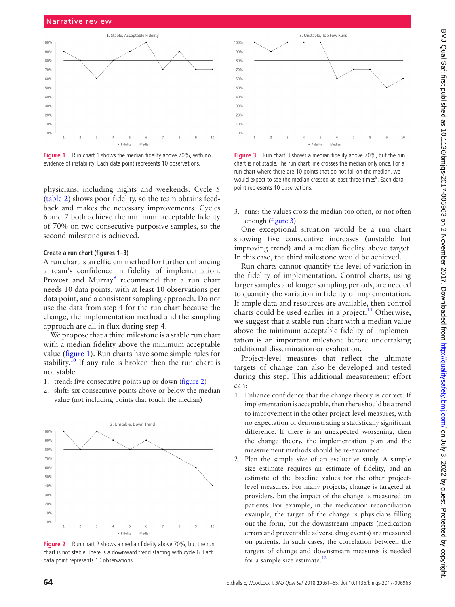

<span id="page-3-0"></span>**Figure 1** Run chart 1 shows the median fidelity above 70%, with no evidence of instability. Each data point represents 10 observations.

physicians, including nights and weekends. Cycle 5 [\(table](#page-2-0) 2) shows poor fidelity, so the team obtains feedback and makes the necessary improvements. Cycles 6 and 7 both achieve the minimum acceptable fidelity of 70% on two consecutive purposive samples, so the second milestone is achieved.

#### **Create a run chart (figures 1–3)**

A run chart is an efficient method for further enhancing a team's confidence in fidelity of implementation. Provost and Murray<sup>[9](#page-4-7)</sup> recommend that a run chart needs 10 data points, with at least 10 observations per data point, and a consistent sampling approach. Do not use the data from step 4 for the run chart because the change, the implementation method and the sampling approach are all in flux during step 4.

We propose that a third milestone is a stable run chart with a median fidelity above the minimum acceptable value [\(figure](#page-3-0) 1). Run charts have some simple rules for stability.<sup>10</sup> If any rule is broken then the run chart is not stable.

- 1. trend: five consecutive points up or down ([figure](#page-3-1) 2)
- 2. shift: six consecutive points above or below the median value (not including points that touch the median)



<span id="page-3-1"></span>**Figure 2** Run chart 2 shows a median fidelity above 70%, but the run chart is not stable. There is a downward trend starting with cycle 6. Each data point represents 10 observations.



<span id="page-3-2"></span>**Figure 3** Run chart 3 shows a median fidelity above 70%, but the run chart is not stable. The run chart line crosses the median only once. For a run chart where there are 10 points that do not fall on the median, we would expect to see the median crossed at least three times<sup>8</sup>. Each data point represents 10 observations.

3. runs: the values cross the median too often, or not often enough ([figure](#page-3-2) 3).

One exceptional situation would be a run chart showing five consecutive increases (unstable but improving trend) and a median fidelity above target. In this case, the third milestone would be achieved.

Run charts cannot quantify the level of variation in the fidelity of implementation. Control charts, using larger samples and longer sampling periods, are needed to quantify the variation in fidelity of implementation. If ample data and resources are available, then control charts could be used earlier in a project.<sup>[11](#page-4-9)</sup> Otherwise, we suggest that a stable run chart with a median value above the minimum acceptable fidelity of implementation is an important milestone before undertaking additional dissemination or evaluation.

Project-level measures that reflect the ultimate targets of change can also be developed and tested during this step. This additional measurement effort can:

- 1. Enhance confidence that the change theory is correct. If implementation is acceptable, then there should be a trend to improvement in the other project-level measures, with no expectation of demonstrating a statistically significant difference. If there is an unexpected worsening, then the change theory, the implementation plan and the measurement methods should be re-examined.
- 2. Plan the sample size of an evaluative study. A sample size estimate requires an estimate of fidelity, and an estimate of the baseline values for the other projectlevel measures. For many projects, change is targeted at providers, but the impact of the change is measured on patients. For example, in the medication reconciliation example, the target of the change is physicians filling out the form, but the downstream impacts (medication errors and preventable adverse drug events) are measured on patients. In such cases, the correlation between the targets of change and downstream measures is needed for a sample size estimate. $12$